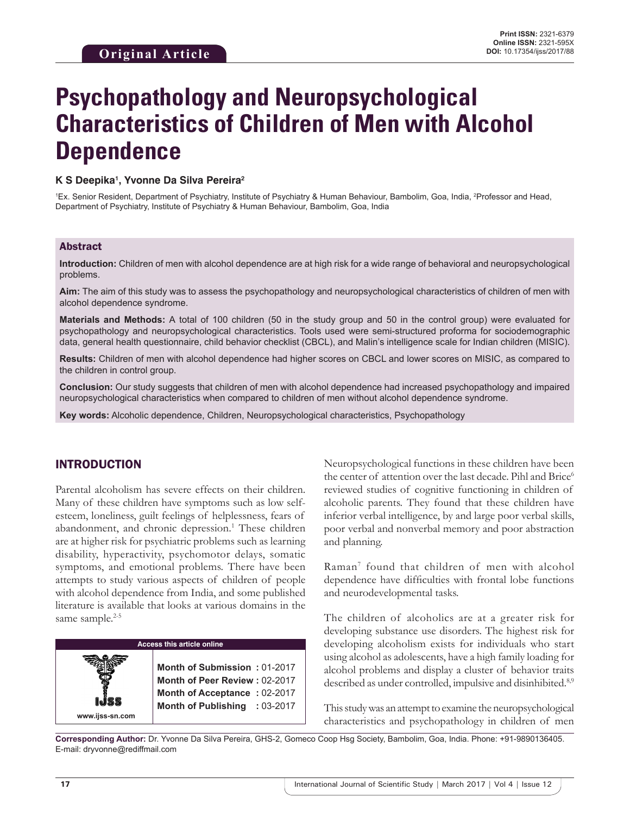# **Psychopathology and Neuropsychological Characteristics of Children of Men with Alcohol Dependence**

#### **K S Deepika1 , Yvonne Da Silva Pereira2**

<sup>1</sup>Ex. Senior Resident, Department of Psychiatry, Institute of Psychiatry & Human Behaviour, Bambolim, Goa, India, <sup>2</sup>Professor and Head, Department of Psychiatry, Institute of Psychiatry & Human Behaviour, Bambolim, Goa, India

#### Abstract

**Introduction:** Children of men with alcohol dependence are at high risk for a wide range of behavioral and neuropsychological problems.

**Aim:** The aim of this study was to assess the psychopathology and neuropsychological characteristics of children of men with alcohol dependence syndrome.

**Materials and Methods:** A total of 100 children (50 in the study group and 50 in the control group) were evaluated for psychopathology and neuropsychological characteristics. Tools used were semi-structured proforma for sociodemographic data, general health questionnaire, child behavior checklist (CBCL), and Malin's intelligence scale for Indian children (MISIC).

**Results:** Children of men with alcohol dependence had higher scores on CBCL and lower scores on MISIC, as compared to the children in control group.

**Conclusion:** Our study suggests that children of men with alcohol dependence had increased psychopathology and impaired neuropsychological characteristics when compared to children of men without alcohol dependence syndrome.

**Key words:** Alcoholic dependence, Children, Neuropsychological characteristics, Psychopathology

## INTRODUCTION

Parental alcoholism has severe effects on their children. Many of these children have symptoms such as low selfesteem, loneliness, guilt feelings of helplessness, fears of abandonment, and chronic depression.<sup>1</sup> These children are at higher risk for psychiatric problems such as learning disability, hyperactivity, psychomotor delays, somatic symptoms, and emotional problems. There have been attempts to study various aspects of children of people with alcohol dependence from India, and some published literature is available that looks at various domains in the same sample.<sup>2-5</sup>

# **Access this article online www.ijss-sn.com Month of Submission :** 01-2017 **Month of Peer Review :** 02-2017 **Month of Acceptance :** 02-2017 **Month of Publishing :** 03-2017

Neuropsychological functions in these children have been the center of attention over the last decade. Pihl and Brice<sup>6</sup> reviewed studies of cognitive functioning in children of alcoholic parents. They found that these children have inferior verbal intelligence, by and large poor verbal skills, poor verbal and nonverbal memory and poor abstraction and planning.

Raman7 found that children of men with alcohol dependence have difficulties with frontal lobe functions and neurodevelopmental tasks.

The children of alcoholics are at a greater risk for developing substance use disorders. The highest risk for developing alcoholism exists for individuals who start using alcohol as adolescents, have a high family loading for alcohol problems and display a cluster of behavior traits described as under controlled, impulsive and disinhibited.<sup>8,9</sup>

This study was an attempt to examine the neuropsychological characteristics and psychopathology in children of men

**Corresponding Author:** Dr. Yvonne Da Silva Pereira, GHS-2, Gomeco Coop Hsg Society, Bambolim, Goa, India. Phone: +91-9890136405. E-mail: dryvonne@rediffmail.com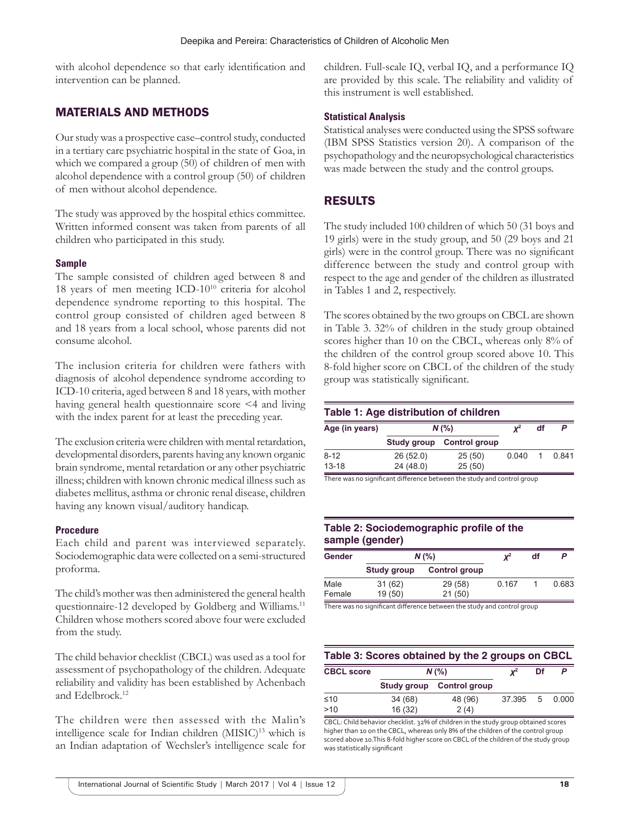with alcohol dependence so that early identification and intervention can be planned.

# MATERIALS AND METHODS

Our study was a prospective case–control study, conducted in a tertiary care psychiatric hospital in the state of Goa, in which we compared a group (50) of children of men with alcohol dependence with a control group (50) of children of men without alcohol dependence.

The study was approved by the hospital ethics committee. Written informed consent was taken from parents of all children who participated in this study.

#### **Sample**

The sample consisted of children aged between 8 and 18 years of men meeting ICD-10<sup>10</sup> criteria for alcohol dependence syndrome reporting to this hospital. The control group consisted of children aged between 8 and 18 years from a local school, whose parents did not consume alcohol.

The inclusion criteria for children were fathers with diagnosis of alcohol dependence syndrome according to ICD-10 criteria, aged between 8 and 18 years, with mother having general health questionnaire score <4 and living with the index parent for at least the preceding year.

The exclusion criteria were children with mental retardation, developmental disorders, parents having any known organic brain syndrome, mental retardation or any other psychiatric illness; children with known chronic medical illness such as diabetes mellitus, asthma or chronic renal disease, children having any known visual/auditory handicap.

#### **Procedure**

Each child and parent was interviewed separately. Sociodemographic data were collected on a semi-structured proforma.

The child's mother was then administered the general health questionnaire-12 developed by Goldberg and Williams.<sup>11</sup> Children whose mothers scored above four were excluded from the study.

The child behavior checklist (CBCL) was used as a tool for assessment of psychopathology of the children. Adequate reliability and validity has been established by Achenbach and Edelbrock.12

The children were then assessed with the Malin's intelligence scale for Indian children (MISIC)<sup>13</sup> which is an Indian adaptation of Wechsler's intelligence scale for children. Full-scale IQ, verbal IQ, and a performance IQ are provided by this scale. The reliability and validity of this instrument is well established.

#### **Statistical Analysis**

Statistical analyses were conducted using the SPSS software (IBM SPSS Statistics version 20). A comparison of the psychopathology and the neuropsychological characteristics was made between the study and the control groups.

### RESULTS

The study included 100 children of which 50 (31 boys and 19 girls) were in the study group, and 50 (29 boys and 21 girls) were in the control group. There was no significant difference between the study and control group with respect to the age and gender of the children as illustrated in Tables 1 and 2, respectively.

The scores obtained by the two groups on CBCL are shown in Table 3. 32% of children in the study group obtained scores higher than 10 on the CBCL, whereas only 8% of the children of the control group scored above 10. This 8-fold higher score on CBCL of the children of the study group was statistically significant.

#### **Table 1: Age distribution of children**

| Age (in years) | $N$ (%)  |                           | $\mathbf{v}^2$ | df |       |
|----------------|----------|---------------------------|----------------|----|-------|
|                |          | Study group Control group |                |    |       |
| $8 - 12$       | 26(52.0) | 25(50)                    | 0.040          |    | 0.841 |
| $13 - 18$      | 24(48.0) | 25(50)                    |                |    |       |

There was no significant difference between the study and control group

#### **Table 2: Sociodemographic profile of the sample (gender)**

| Gender | $N$ (%)     |                      | $\textbf{\textit{X}}^2$ | df |       |
|--------|-------------|----------------------|-------------------------|----|-------|
|        | Study group | <b>Control group</b> |                         |    |       |
| Male   | 31 (62)     | 29 (58)              | 0.167                   |    | 0.683 |
| Female | 19 (50)     | 21(50)               |                         |    |       |

There was no significant difference between the study and control group

#### **Table 3: Scores obtained by the 2 groups on CBCL**

| <b>CBCL score</b> | $N$ (%) | $\textbf{\textit{X}}^2$   | Df     |   |       |
|-------------------|---------|---------------------------|--------|---|-------|
|                   |         | Study group Control group |        |   |       |
| ≤10               | 34 (68) | 48 (96)                   | 37.395 | 5 | 0.000 |
| >10               | 16(32)  | 2(4)                      |        |   |       |

CBCL: Child behavior checklist. 32% of children in the study group obtained scores higher than 10 on the CBCL, whereas only 8% of the children of the control group scored above 10.This 8-fold higher score on CBCL of the children of the study group was statistically significant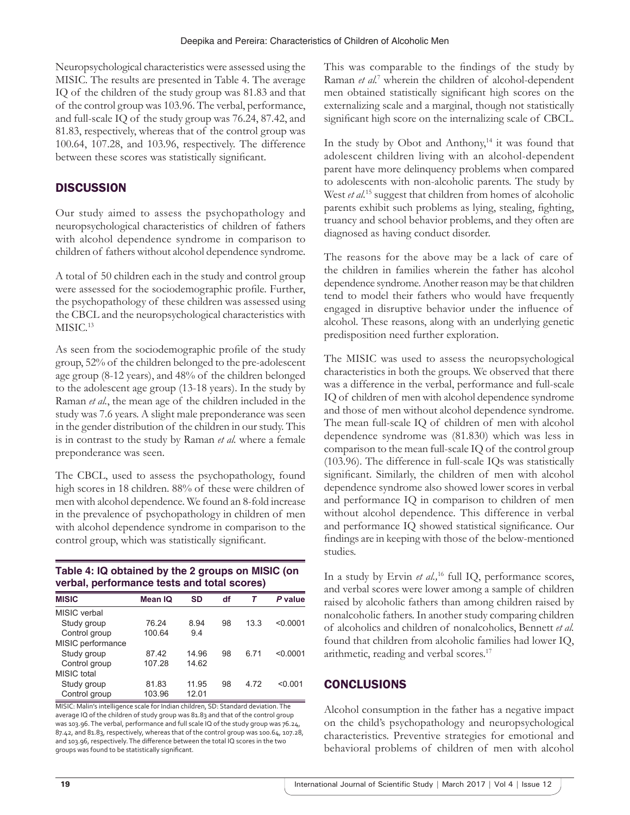Neuropsychological characteristics were assessed using the MISIC. The results are presented in Table 4. The average IQ of the children of the study group was 81.83 and that of the control group was 103.96. The verbal, performance, and full-scale IQ of the study group was 76.24, 87.42, and 81.83, respectively, whereas that of the control group was 100.64, 107.28, and 103.96, respectively. The difference between these scores was statistically significant.

# **DISCUSSION**

Our study aimed to assess the psychopathology and neuropsychological characteristics of children of fathers with alcohol dependence syndrome in comparison to children of fathers without alcohol dependence syndrome.

A total of 50 children each in the study and control group were assessed for the sociodemographic profile. Further, the psychopathology of these children was assessed using the CBCL and the neuropsychological characteristics with MISIC.<sup>13</sup>

As seen from the sociodemographic profile of the study group, 52% of the children belonged to the pre-adolescent age group (8-12 years), and 48% of the children belonged to the adolescent age group (13-18 years). In the study by Raman *et al.*, the mean age of the children included in the study was 7.6 years. A slight male preponderance was seen in the gender distribution of the children in our study. This is in contrast to the study by Raman *et al.* where a female preponderance was seen.

The CBCL, used to assess the psychopathology, found high scores in 18 children. 88% of these were children of men with alcohol dependence. We found an 8-fold increase in the prevalence of psychopathology in children of men with alcohol dependence syndrome in comparison to the control group, which was statistically significant.

## **Table 4: IQ obtained by the 2 groups on MISIC (on verbal, performance tests and total scores)**

| <b>MISIC</b>      | Mean IQ | SD    | df | Τ    | P value  |  |
|-------------------|---------|-------|----|------|----------|--|
| MISIC verbal      |         |       |    |      |          |  |
| Study group       | 76.24   | 8.94  | 98 | 13.3 | < 0.0001 |  |
| Control group     | 100.64  | 9.4   |    |      |          |  |
| MISIC performance |         |       |    |      |          |  |
| Study group       | 87.42   | 14.96 | 98 | 671  | < 0.0001 |  |
| Control group     | 107.28  | 14.62 |    |      |          |  |
| MISIC total       |         |       |    |      |          |  |
| Study group       | 81.83   | 11.95 | 98 | 4.72 | < 0.001  |  |
| Control group     | 103.96  | 12.01 |    |      |          |  |

MISIC: Malin's intelligence scale for Indian children, SD: Standard deviation. The average IQ of the children of study group was 81.83 and that of the control group was 103.96. The verbal, performance and full scale IQ of the study group was 76.24, 87.42, and 81.83, respectively, whereas that of the control group was 100.64, 107.28, and 103.96, respectively. The difference between the total IQ scores in the two groups was found to be statistically significant.

This was comparable to the findings of the study by Raman *et al.*<sup>7</sup> wherein the children of alcohol-dependent men obtained statistically significant high scores on the externalizing scale and a marginal, though not statistically significant high score on the internalizing scale of CBCL.

In the study by Obot and Anthony,<sup>14</sup> it was found that adolescent children living with an alcohol-dependent parent have more delinquency problems when compared to adolescents with non-alcoholic parents. The study by West *et al.*<sup>15</sup> suggest that children from homes of alcoholic parents exhibit such problems as lying, stealing, fighting, truancy and school behavior problems, and they often are diagnosed as having conduct disorder.

The reasons for the above may be a lack of care of the children in families wherein the father has alcohol dependence syndrome. Another reason may be that children tend to model their fathers who would have frequently engaged in disruptive behavior under the influence of alcohol. These reasons, along with an underlying genetic predisposition need further exploration.

The MISIC was used to assess the neuropsychological characteristics in both the groups. We observed that there was a difference in the verbal, performance and full-scale IQ of children of men with alcohol dependence syndrome and those of men without alcohol dependence syndrome. The mean full-scale IQ of children of men with alcohol dependence syndrome was (81.830) which was less in comparison to the mean full-scale IQ of the control group (103.96). The difference in full-scale IQs was statistically significant. Similarly, the children of men with alcohol dependence syndrome also showed lower scores in verbal and performance IQ in comparison to children of men without alcohol dependence. This difference in verbal and performance IQ showed statistical significance. Our findings are in keeping with those of the below-mentioned studies.

In a study by Ervin et al.,<sup>16</sup> full IQ, performance scores, and verbal scores were lower among a sample of children raised by alcoholic fathers than among children raised by nonalcoholic fathers. In another study comparing children of alcoholics and children of nonalcoholics, Bennett *et al.* found that children from alcoholic families had lower IQ, arithmetic, reading and verbal scores.17

# **CONCLUSIONS**

Alcohol consumption in the father has a negative impact on the child's psychopathology and neuropsychological characteristics. Preventive strategies for emotional and behavioral problems of children of men with alcohol